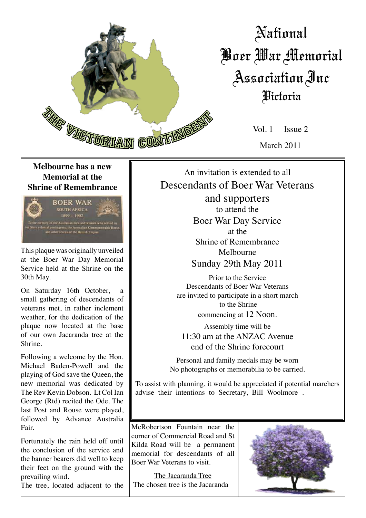

# National Boer War Memorial Association Inc Victoria

Vol. 1 Issue 2 March 2011

### **Melbourne has a new Memorial at the Shrine of Remembrance**



This plaque was originally unveiled at the Boer War Day Memorial Service held at the Shrine on the 30th May.

On Saturday 16th October, small gathering of descendants of veterans met, in rather inclement weather, for the dedication of the plaque now located at the base of our own Jacaranda tree at the Shrine.

Following a welcome by the Hon. Michael Baden-Powell and the playing of God save the Queen, the new memorial was dedicated by The Rev Kevin Dobson. Lt Col Ian George (Rtd) recited the Ode. The last Post and Rouse were played, followed by Advance Australia Fair.

Fortunately the rain held off until the conclusion of the service and the banner bearers did well to keep their feet on the ground with the prevailing wind.

The tree, located adjacent to the

An invitation is extended to all Descendants of Boer War Veterans

> and supporters to attend the Boer War Day Service at the Shrine of Remembrance Melbourne Sunday 29th May 2011

Prior to the Service Descendants of Boer War Veterans are invited to participate in a short march to the Shrine commencing at 12 Noon.

Assembly time will be 11:30 am at the ANZAC Avenue end of the Shrine forecourt

Personal and family medals may be worn No photographs or memorabilia to be carried.

To assist with planning, it would be appreciated if potential marchers advise their intentions to Secretary, Bill Woolmore .

McRobertson Fountain near the corner of Commercial Road and St Kilda Road will be a permanent memorial for descendants of all Boer War Veterans to visit.

The Jacaranda Tree The chosen tree is the Jacaranda

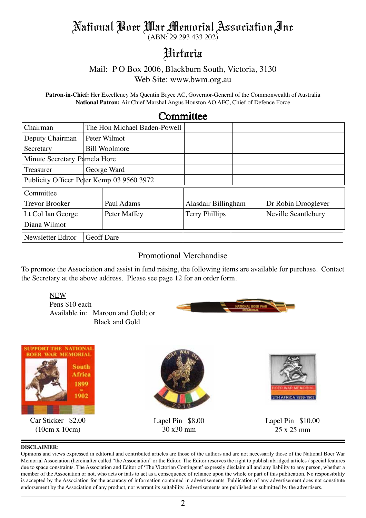# National Boer War Memorial Association Inc

(ABN: 29 293 433 202)

## Victoria

### Mail: P O Box 2006, Blackburn South, Victoria, 3130

Web Site: www.bwm.org.au

**Patron-in-Chief:** Her Excellency Ms Quentin Bryce AC, Governor-General of the Commonwealth of Australia **National Patron:** Air Chief Marshal Angus Houston AO AFC, Chief of Defence Force

### **Committee**

| Chairman                                  | The Hon Michael Baden-Powell |                      |                     |  |                     |
|-------------------------------------------|------------------------------|----------------------|---------------------|--|---------------------|
| Deputy Chairman<br>Peter Wilmot           |                              |                      |                     |  |                     |
| Secretary                                 |                              | <b>Bill Woolmore</b> |                     |  |                     |
| Minute Secretary Pamela Hore              |                              |                      |                     |  |                     |
| Treasurer                                 |                              | George Ward          |                     |  |                     |
| Publicity Officer Peter Kemp 03 9560 3972 |                              |                      |                     |  |                     |
| Committee                                 |                              |                      |                     |  |                     |
| <b>Trevor Brooker</b>                     |                              | Paul Adams           | Alasdair Billingham |  | Dr Robin Drooglever |
| Lt Col Ian George                         |                              | Peter Maffey         | Terry Phillips      |  | Neville Scantlebury |
| Diana Wilmot                              |                              |                      |                     |  |                     |
| Newsletter Editor                         | <b>Geoff</b> Dare            |                      |                     |  |                     |

#### Promotional Merchandise

To promote the Association and assist in fund raising, the following items are available for purchase. Contact the Secretary at the above address. Please see page 12 for an order form.

NEW Pens \$10 each Available in: Maroon and Gold; or Black and Gold





#### **DISCLAIMER**:

Opinions and views expressed in editorial and contributed articles are those of the authors and are not necessarily those of the National Boer War Memorial Association (hereinafter called "the Association" or the Editor. The Editor reserves the right to publish abridged articles / special features due to space constraints. The Association and Editor of 'The Victorian Contingent' expressly disclaim all and any liability to any person, whether a member of the Association or not, who acts or fails to act as a consequence of reliance upon the whole or part of this publication. No responsibility is accepted by the Association for the accuracy of information contained in advertisements. Publication of any advertisement does not constitute endorsement by the Association of any product, nor warrant its suitability. Advertisements are published as submitted by the advertisers.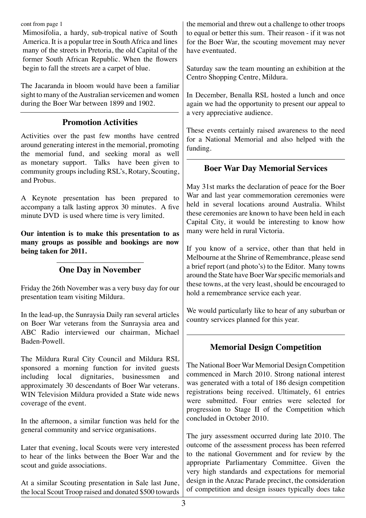cont from page 1

Mimosifolia, a hardy, sub-tropical native of South America. It is a popular tree in South Africa and lines many of the streets in Pretoria, the old Capital of the former South African Republic. When the flowers begin to fall the streets are a carpet of blue.

The Jacaranda in bloom would have been a familiar sight to many of the Australian servicemen and women during the Boer War between 1899 and 1902.

### **Promotion Activities**

Activities over the past few months have centred around generating interest in the memorial, promoting the memorial fund, and seeking moral as well as monetary support. Talks have been given to community groups including RSL's, Rotary, Scouting, and Probus.

A Keynote presentation has been prepared to accompany a talk lasting approx 30 minutes. A five minute DVD is used where time is very limited.

**Our intention is to make this presentation to as many groups as possible and bookings are now being taken for 2011.**

### **One Day in November**

Friday the 26th November was a very busy day for our presentation team visiting Mildura.

In the lead-up, the Sunraysia Daily ran several articles on Boer War veterans from the Sunraysia area and ABC Radio interviewed our chairman, Michael Baden-Powell.

The Mildura Rural City Council and Mildura RSL sponsored a morning function for invited guests including local dignitaries, businessmen and approximately 30 descendants of Boer War veterans. WIN Television Mildura provided a State wide news coverage of the event.

In the afternoon, a similar function was held for the general community and service organisations.

Later that evening, local Scouts were very interested to hear of the links between the Boer War and the scout and guide associations.

At a similar Scouting presentation in Sale last June, the local Scout Troop raised and donated \$500 towards the memorial and threw out a challenge to other troops to equal or better this sum. Their reason - if it was not for the Boer War, the scouting movement may never have eventuated.

Saturday saw the team mounting an exhibition at the Centro Shopping Centre, Mildura.

In December, Benalla RSL hosted a lunch and once again we had the opportunity to present our appeal to a very appreciative audience.

These events certainly raised awareness to the need for a National Memorial and also helped with the funding.

### **Boer War Day Memorial Services**

May 31st marks the declaration of peace for the Boer War and last year commemoration ceremonies were held in several locations around Australia. Whilst these ceremonies are known to have been held in each Capital City, it would be interesting to know how many were held in rural Victoria.

If you know of a service, other than that held in Melbourne at the Shrine of Remembrance, please send a brief report (and photo's) to the Editor. Many towns around the State have Boer War specific memorials and these towns, at the very least, should be encouraged to hold a remembrance service each year.

We would particularly like to hear of any suburban or country services planned for this year.

### **Memorial Design Competition**

The National Boer War Memorial Design Competition commenced in March 2010. Strong national interest was generated with a total of 186 design competition registrations being received. Ultimately, 61 entries were submitted. Four entries were selected for progression to Stage II of the Competition which concluded in October 2010.

The jury assessment occurred during late 2010. The outcome of the assessment process has been referred to the national Government and for review by the appropriate Parliamentary Committee. Given the very high standards and expectations for memorial design in the Anzac Parade precinct, the consideration of competition and design issues typically does take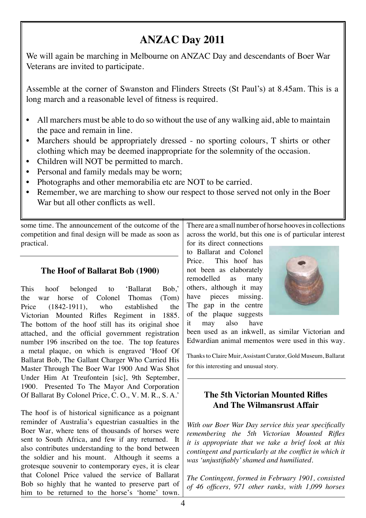## **ANZAC Day 2011**

We will again be marching in Melbourne on ANZAC Day and descendants of Boer War Veterans are invited to participate.

Assemble at the corner of Swanston and Flinders Streets (St Paul's) at 8.45am. This is a long march and a reasonable level of fitness is required.

- All marchers must be able to do so without the use of any walking aid, able to maintain the pace and remain in line.
- Marchers should be appropriately dressed no sporting colours, T shirts or other clothing which may be deemed inappropriate for the solemnity of the occasion.
- Children will NOT be permitted to march.
- Personal and family medals may be worn;
- Photographs and other memorabilia etc are NOT to be carried.
- Remember, we are marching to show our respect to those served not only in the Boer War but all other conflicts as well.

some time. The announcement of the outcome of the competition and final design will be made as soon as practical.

### **The Hoof of Ballarat Bob (1900)**

This hoof belonged to 'Ballarat Bob,' the war horse of Colonel Thomas (Tom) Price (1842-1911), who established the Victorian Mounted Rifles Regiment in 1885. The bottom of the hoof still has its original shoe attached, and the official government registration number 196 inscribed on the toe. The top features a metal plaque, on which is engraved 'Hoof Of Ballarat Bob, The Gallant Charger Who Carried His Master Through The Boer War 1900 And Was Shot Under Him At Treufontein [sic], 9th September, 1900. Presented To The Mayor And Corporation Of Ballarat By Colonel Price, C. O., V. M. R., S. A.'

The hoof is of historical significance as a poignant reminder of Australia's equestrian casualties in the Boer War, where tens of thousands of horses were sent to South Africa, and few if any returned. It also contributes understanding to the bond between the soldier and his mount. Although it seems a grotesque souvenir to contemporary eyes, it is clear that Colonel Price valued the service of Ballarat Bob so highly that he wanted to preserve part of him to be returned to the horse's 'home' town.

There are a small number of horse hooves in collections across the world, but this one is of particular interest

for its direct connections to Ballarat and Colonel Price. This hoof has not been as elaborately remodelled as many others, although it may have pieces missing. The gap in the centre of the plaque suggests it may also have



been used as an inkwell, as similar Victorian and Edwardian animal mementos were used in this way.

Thanks to Claire Muir, Assistant Curator, Gold Museum, Ballarat for this interesting and unusual story.

### **The 5th Victorian Mounted Rifles And The Wilmansrust Affair**

*With our Boer War Day service this year specifically remembering the 5th Victorian Mounted Rifles it is appropriate that we take a brief look at this contingent and particularly at the conflict in which it was 'unjustifiably' shamed and humiliated.*

*The Contingent, formed in February 1901, consisted of 46 officers, 971 other ranks, with 1,099 horses*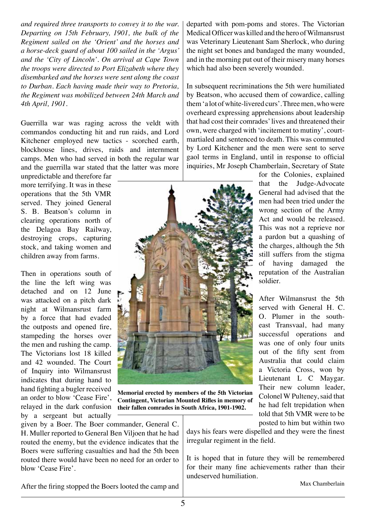*and required three transports to convey it to the war. Departing on 15th February, 1901, the bulk of the Regiment sailed on the 'Orient' and the horses and a horse-deck guard of about 100 sailed in the 'Argus' and the 'City of Lincoln'. On arrival at Cape Town the troops were directed to Port Elizabeth where they disembarked and the horses were sent along the coast to Durban. Each having made their way to Pretoria, the Regiment was mobilized between 24th March and 4th April, 1901.*

Guerrilla war was raging across the veldt with commandos conducting hit and run raids, and Lord Kitchener employed new tactics - scorched earth, blockhouse lines, drives, raids and internment camps. Men who had served in both the regular war and the guerrilla war stated that the latter was more

unpredictable and therefore far more terrifying. It was in these operations that the 5th VMR served. They joined General S. B. Beatson's column in clearing operations north of the Delagoa Bay Railway, destroying crops, capturing stock, and taking women and children away from farms.

Then in operations south of the line the left wing was detached and on 12 June was attacked on a pitch dark night at Wilmansrust farm by a force that had evaded the outposts and opened fire, stampeding the horses over the men and rushing the camp. The Victorians lost 18 killed and 42 wounded. The Court of Inquiry into Wilmansrust indicates that during hand to hand fighting a bugler received an order to blow 'Cease Fire', relayed in the dark confusion by a sergeant but actually

given by a Boer. The Boer commander, General C. H. Muller reported to General Ben Viljoen that he had routed the enemy, but the evidence indicates that the Boers were suffering casualties and had the 5th been routed there would have been no need for an order to blow 'Cease Fire'.

departed with pom-poms and stores. The Victorian Medical Officer was killed and the hero of Wilmansrust was Veterinary Lieutenant Sam Sherlock, who during the night set bones and bandaged the many wounded, and in the morning put out of their misery many horses which had also been severely wounded.

In subsequent recriminations the 5th were humiliated by Beatson, who accused them of cowardice, calling them 'a lot of white-livered curs'. Three men, who were overheard expressing apprehensions about leadership that had cost their comrades' lives and threatened their own, were charged with 'incitement to mutiny', courtmartialed and sentenced to death. This was commuted by Lord Kitchener and the men were sent to serve gaol terms in England, until in response to official inquiries, Mr Joseph Chamberlain, Secretary of State



**Memorial erected by members of the 5th Victorian Contingent, Victorian Mounted Rifles in memory of their fallen comrades in South Africa, 1901-1902.**

for the Colonies, explained that the Judge-Advocate General had advised that the men had been tried under the wrong section of the Army Act and would be released. This was not a reprieve nor a pardon but a quashing of the charges, although the 5th still suffers from the stigma of having damaged the reputation of the Australian soldier.

After Wilmansrust the 5th served with General H. C. O. Plumer in the southeast Transvaal, had many successful operations and was one of only four units out of the fifty sent from Australia that could claim a Victoria Cross, won by Lieutenant L C Maygar. Their new column leader, Colonel W Pulteney, said that he had felt trepidation when told that 5th VMR were to be posted to him but within two

days his fears were dispelled and they were the finest irregular regiment in the field.

It is hoped that in future they will be remembered for their many fine achievements rather than their undeserved humiliation.

Max Chamberlain

After the firing stopped the Boers looted the camp and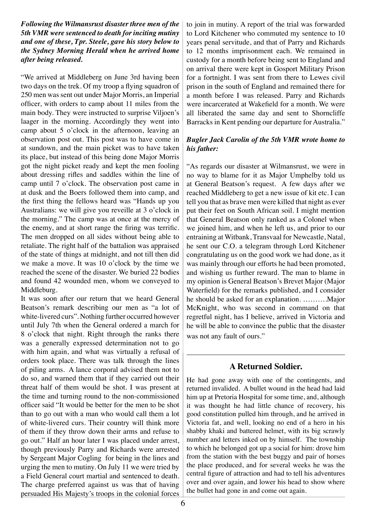*Following the Wilmansrust disaster three men of the 5th VMR were sentenced to death for inciting mutiny and one of these, Tpr. Steele, gave his story below to the Sydney Morning Herald when he arrived home after being released.*

"We arrived at Middleberg on June 3rd having been two days on the trek. Of my troop a flying squadron of 250 men was sent out under Major Morris, an Imperial officer, with orders to camp about 11 miles from the main body. They were instructed to surprise Viljoen's laager in the morning. Accordingly they went into camp about 5 o'clock in the afternoon, leaving an observation post out. This post was to have come in at sundown, and the main picket was to have taken its place, but instead of this being done Major Morris got the night picket ready and kept the men fooling about dressing rifles and saddles within the line of camp until 7 o'clock. The observation post came in at dusk and the Boers followed them into camp, and the first thing the fellows heard was "Hands up you Australians: we will give you reveille at 3 o'clock in the morning." The camp was at once at the mercy of the enemy, and at short range the firing was terrific. The men dropped on all sides without being able to retaliate. The right half of the battalion was appraised of the state of things at midnight, and not till then did we make a move. It was 10 o'clock by the time we reached the scene of the disaster. We buried 22 bodies and found 42 wounded men, whom we conveyed to Middleburg.

It was soon after our return that we heard General Beatson's remark describing our men as "a lot of white-livered curs". Nothing further occurred however until July 7th when the General ordered a march for 8 o'clock that night. Right through the ranks there was a generally expressed determination not to go with him again, and what was virtually a refusal of orders took place. There was talk through the lines of piling arms. A lance corporal advised them not to do so, and warned them that if they carried out their threat half of them would be shot. I was present at the time and turning round to the non-commissioned officer said "It would be better for the men to be shot than to go out with a man who would call them a lot of white-livered curs. Their country will think more of them if they throw down their arms and refuse to go out." Half an hour later I was placed under arrest, though previously Parry and Richards were arrested by Sergeant Major Cogling for being in the lines and urging the men to mutiny. On July 11 we were tried by a Field General court martial and sentenced to death. The charge preferred against us was that of having persuaded His Majesty's troops in the colonial forces

to join in mutiny. A report of the trial was forwarded to Lord Kitchener who commuted my sentence to 10 years penal servitude, and that of Parry and Richards to 12 months imprisonment each. We remained in custody for a month before being sent to England and on arrival there were kept in Gosport Military Prison for a fortnight. I was sent from there to Lewes civil prison in the south of England and remained there for a month before I was released. Parry and Richards were incarcerated at Wakefield for a month. We were all liberated the same day and sent to Shorncliffe Barracks in Kent pending our departure for Australia."

#### *Bugler Jack Carolin of the 5th VMR wrote home to his father:*

"As regards our disaster at Wilmansrust, we were in no way to blame for it as Major Umphelby told us at General Beatson's request. A few days after we reached Middleberg to get a new issue of kit etc. I can tell you that as brave men were killed that night as ever put their feet on South African soil. I might mention that General Beatson only ranked as a Colonel when we joined him, and when he left us, and prior to our entraining at Witbank, Transvaal for Newcastle, Natal, he sent our C.O. a telegram through Lord Kitchener congratulating us on the good work we had done, as it was mainly through our efforts he had been promoted, and wishing us further reward. The man to blame in my opinion is General Beatson's Brevet Major (Major Waterfield) for the remarks published, and I consider he should be asked for an explanation. ……….Major McKnight, who was second in command on that regretful night, has I believe, arrived in Victoria and he will be able to convince the public that the disaster was not any fault of ours."

### **A Returned Soldier.**

He had gone away with one of the contingents, and returned invalided. A bullet wound in the head had laid him up at Pretoria Hospital for some time, and, although it was thought he had little chance of recovery, his good constitution pulled him through, and he arrived in Victoria fat, and well, looking no end of a hero in his shabby khaki and battered helmet, with its big scrawly number and letters inked on by himself. The township to which he belonged got up a social for him: drove him from the station with the best buggy and pair of horses the place produced, and for several weeks he was the central figure of attraction and had to tell his adventures over and over again, and lower his head to show where the bullet had gone in and come out again.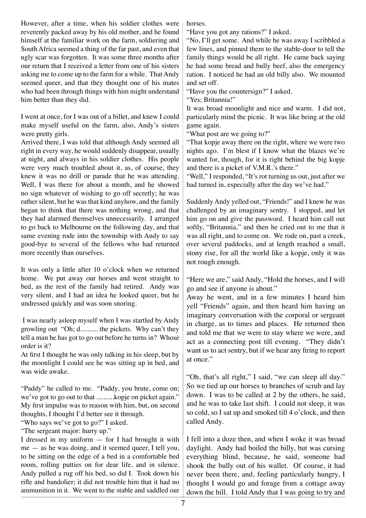However, after a time, when his soldier clothes were reverently packed away by his old mother, and he found himself at the familiar work on the farm, soldiering and South Africa seemed a thing of the far past, and even that ugly scar was forgotten. It was some three months after our return that I received a letter from one of his sisters asking me to come up to the farm for a while. That Andy seemed queer, and that they thought one of his mates who had been through things with him might understand him better than they did.

I went at once, for I was out of a billet, and knew I could make myself useful on the farm, also, Andy's sisters were pretty girls.

Arrived there, I was told that although Andy seemed all right in every way, he would suddenly disappear, usually at night, and always in his soldier clothes. His people were very much troubled about it, as, of course, they knew it was no drill or parade that he was attending. Well, I was there for about a month, and he showed no sign whatever of wishing to go off secretly; he was rather silent, but he was that kind anyhow, and the family began to think that there was nothing wrong, and that they had alarmed themselves unnecessarily. I arranged to go back to Melbourne on the following day, and that same evening rode into the township with Andy to say good-bye to several of the fellows who had returned more recently than ourselves.

It was only a little after 10 o'clock when we returned home. We put away our horses and went straight to bed, as the rest of the family had retired. Andy was very silent, and I had an idea he looked queer, but he undressed quickly and was soon snoring.

 I was nearly asleep myself when I was startled by Andy growling out "Oh; d.......... the pickets. Why can't they tell a man he has got to go out before he turns in? Whose order is it?

At first I thought he was only talking in his sleep, but by the moonlight I could see he was sitting up in bed, and was wide awake.

"Paddy" he called to me. "Paddy, you brute, come on; we've got to go out to that ..........kopje on picket again." My first impulse was to reason with him, but, on second thoughts, I thought I'd better see it through.

"Who says we've got to go?" I asked.

"The sergeant major: hurry up."

I dressed in my uniform — for I had brought it with me — as he was doing, and it seemed queer, I tell you, to be sitting on the edge of a bed in a comfortable bed room, rolling putties on for dear life, and in silence. Andy pulled a rug off his bed, so did I. Took down his rifle and bandolier; it did not trouble him that it had no ammunition in it. We went to the stable and saddled our

horses.

"Have you got any rations?" I asked.

"No, I'll get some. And while he was away I scribbled a few lines, and pinned them to the stable-door to tell the family things would be all right. He came back saying he had some bread and bully beef, also the emergency ration. I noticed he had an old billy also. We mounted and set off.

"Have you the countersign?" I asked.

"Yes; Britannia!"

It was broad moonlight and nice and warm. I did not, particularly mind the picnic. It was like being at the old game again.

"What post are we going to?"

"That kopje away there on the right, where we were two nights ago. I'm blest if I know what the blazes we're wanted for, though, for it is right behind the big kopje and there is a picket of V.M.R.'s there."

"Well," I responded, "It's rot turning us out, just after we had turned in, especially after the day we've had."

Suddenly Andy yelled out, "Friends!" and I knew he was challenged by an imaginary sentry. I stopped, and let him go on and give the password. I heard him call out softly, "Britannia," and then he cried out to me that it was all right, and to come on. We rode on, past a creek, over several paddocks, and at length reached a small, stony rise, for all the world like a kopje, only it was not rough enough.

"Here we are," said Andy, "Hold the horses, and I will go and see if anyone is about."

Away he went, and in a few minutes I heard him yell "Friends" again, and then heard him having an imaginary conversation with the corporal or sergeant in charge, as to times and places. He returned then and told me that we were to stay where we were, and act as a connecting post till evening. "They didn't want us to act sentry, but if we hear any firing to report at once."

"Oh, that's all right," I said, "we can sleep all day." So we tied up our horses to branches of scrub and lay down. I was to be called at 2 by the others, he said, and he was to take last shift. I could not sleep, it was so cold, so I sat up and smoked till 4 o'clock, and then called Andy.

I fell into a doze then, and when I woke it was broad daylight. Andy had boiled the billy, but was cursing everything blind, because, he said, someone had shook the bully out of his wallet. Of course, it had never been there, and, feeling particularly hungry, I thought I would go and forage from a cottage away down the hill. I told Andy that I was going to try and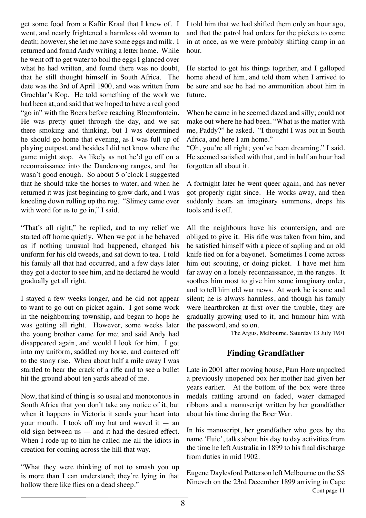get some food from a Kaffir Kraal that I knew of. I went, and nearly frightened a harmless old woman to death; however, she let me have some eggs and milk. I returned and found Andy writing a letter home. While he went off to get water to boil the eggs I glanced over what he had written, and found there was no doubt, that he still thought himself in South Africa. The date was the 3rd of April 1900, and was written from Groeblar's Kop. He told something of the work we had been at, and said that we hoped to have a real good "go in" with the Boers before reaching Bloemfontein. He was pretty quiet through the day, and we sat there smoking and thinking, but I was determined he should go home that evening, as I was full up of playing outpost, and besides I did not know where the game might stop. As likely as not he'd go off on a reconnaissance into the Dandenong ranges, and that wasn't good enough. So about 5 o'clock I suggested that he should take the horses to water, and when he returned it was just beginning to grow dark, and I was kneeling down rolling up the rug. "Slimey came over with word for us to go in," I said.

"That's all right," he replied, and to my relief we started off home quietly. When we got in he behaved as if nothing unusual had happened, changed his uniform for his old tweeds, and sat down to tea. I told his family all that had occurred, and a few days later they got a doctor to see him, and he declared he would gradually get all right.

I stayed a few weeks longer, and he did not appear to want to go out on picket again. I got some work in the neighbouring township, and began to hope he was getting all right. However, some weeks later the young brother came for me; and said Andy had disappeared again, and would I look for him. I got into my uniform, saddled my horse, and cantered off to the stony rise. When about half a mile away I was startled to hear the crack of a rifle and to see a bullet hit the ground about ten yards ahead of me.

Now, that kind of thing is so usual and monotonous in South Africa that you don't take any notice of it, but when it happens in Victoria it sends your heart into your mouth. I took off my hat and waved it — an old sign between us — and it had the desired effect. When I rode up to him he called me all the idiots in creation for coming across the hill that way.

"What they were thinking of not to smash you up is more than I can understand; they're lying in that hollow there like flies on a dead sheep."

I told him that we had shifted them only an hour ago, and that the patrol had orders for the pickets to come in at once, as we were probably shifting camp in an hour.

He started to get his things together, and I galloped home ahead of him, and told them when I arrived to be sure and see he had no ammunition about him in future.

When he came in he seemed dazed and silly; could not make out where he had been. "What is the matter with me, Paddy?" he asked. "I thought I was out in South Africa, and here I am home."

"Oh, you're all right; you've been dreaming." I said. He seemed satisfied with that, and in half an hour had forgotten all about it.

A fortnight later he went queer again, and has never got properly right since. He works away, and then suddenly hears an imaginary summons, drops his tools and is off.

All the neighbours have his countersign, and are obliged to give it. His rifle was taken from him, and he satisfied himself with a piece of sapling and an old knife tied on for a bayonet. Sometimes I come across him out scouting, or doing picket. I have met him far away on a lonely reconnaissance, in the ranges. It soothes him most to give him some imaginary order, and to tell him old war news. At work he is sane and silent; he is always harmless, and though his family were heartbroken at first over the trouble, they are gradually growing used to it, and humour him with the password, and so on.

The Argus, Melbourne, Saturday 13 July 1901

### **Finding Grandfather**

Late in 2001 after moving house, Pam Hore unpacked a previously unopened box her mother had given her years earlier. At the bottom of the box were three medals rattling around on faded, water damaged ribbons and a manuscript written by her grandfather about his time during the Boer War.

In his manuscript, her grandfather who goes by the name 'Euie', talks about his day to day activities from the time he left Australia in 1899 to his final discharge from duties in mid 1902.

Eugene Daylesford Patterson left Melbourne on the SS Nineveh on the 23rd December 1899 arriving in Cape Cont page 11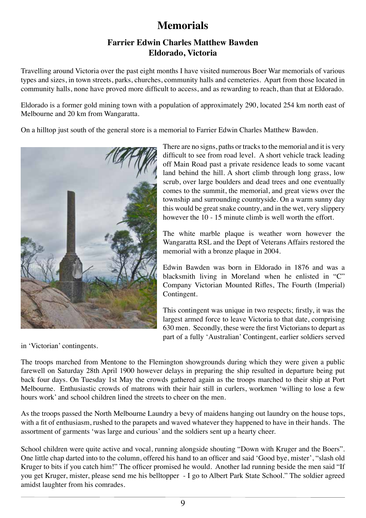### **Memorials**

### **Farrier Edwin Charles Matthew Bawden Eldorado, Victoria**

Travelling around Victoria over the past eight months I have visited numerous Boer War memorials of various types and sizes, in town streets, parks, churches, community halls and cemeteries. Apart from those located in community halls, none have proved more difficult to access, and as rewarding to reach, than that at Eldorado.

Eldorado is a former gold mining town with a population of approximately 290, located 254 km north east of Melbourne and 20 km from Wangaratta.

On a hilltop just south of the general store is a memorial to Farrier Edwin Charles Matthew Bawden.



There are no signs, paths or tracks to the memorial and it is very difficult to see from road level. A short vehicle track leading off Main Road past a private residence leads to some vacant land behind the hill. A short climb through long grass, low scrub, over large boulders and dead trees and one eventually comes to the summit, the memorial, and great views over the township and surrounding countryside. On a warm sunny day this would be great snake country, and in the wet, very slippery however the 10 - 15 minute climb is well worth the effort.

The white marble plaque is weather worn however the Wangaratta RSL and the Dept of Veterans Affairs restored the memorial with a bronze plaque in 2004.

Edwin Bawden was born in Eldorado in 1876 and was a blacksmith living in Moreland when he enlisted in "C" Company Victorian Mounted Rifles, The Fourth (Imperial) Contingent.

This contingent was unique in two respects; firstly, it was the largest armed force to leave Victoria to that date, comprising 630 men. Secondly, these were the first Victorians to depart as part of a fully 'Australian' Contingent, earlier soldiers served

in 'Victorian' contingents.

The troops marched from Mentone to the Flemington showgrounds during which they were given a public farewell on Saturday 28th April 1900 however delays in preparing the ship resulted in departure being put back four days. On Tuesday 1st May the crowds gathered again as the troops marched to their ship at Port Melbourne. Enthusiastic crowds of matrons with their hair still in curlers, workmen 'willing to lose a few hours work' and school children lined the streets to cheer on the men.

As the troops passed the North Melbourne Laundry a bevy of maidens hanging out laundry on the house tops, with a fit of enthusiasm, rushed to the parapets and waved whatever they happened to have in their hands. The assortment of garments 'was large and curious' and the soldiers sent up a hearty cheer.

School children were quite active and vocal, running alongside shouting "Down with Kruger and the Boers". One little chap darted into to the column, offered his hand to an officer and said 'Good bye, mister', "slash old Kruger to bits if you catch him!" The officer promised he would. Another lad running beside the men said "If you get Kruger, mister, please send me his belltopper - I go to Albert Park State School." The soldier agreed amidst laughter from his comrades.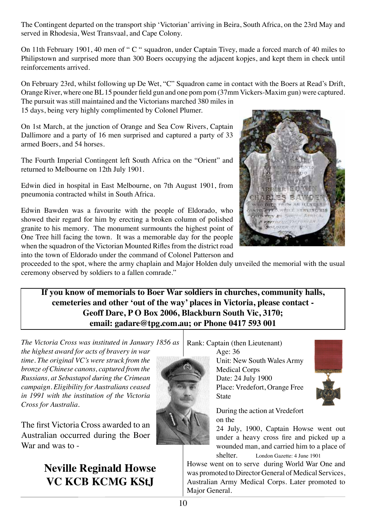The Contingent departed on the transport ship 'Victorian' arriving in Beira, South Africa, on the 23rd May and served in Rhodesia, West Transvaal, and Cape Colony.

On 11th February 1901, 40 men of " C " squadron, under Captain Tivey, made a forced march of 40 miles to Philipstown and surprised more than 300 Boers occupying the adjacent kopjes, and kept them in check until reinforcements arrived.

On February 23rd, whilst following up De Wet, "C" Squadron came in contact with the Boers at Read's Drift, Orange River, where one BL 15 pounder field gun and one pom pom (37mm Vickers-Maxim gun) were captured. The pursuit was still maintained and the Victorians marched 380 miles in

15 days, being very highly complimented by Colonel Plumer.

On 1st March, at the junction of Orange and Sea Cow Rivers, Captain Dallimore and a party of 16 men surprised and captured a party of 33 armed Boers, and 54 horses.

The Fourth Imperial Contingent left South Africa on the "Orient" and returned to Melbourne on 12th July 1901.

Edwin died in hospital in East Melbourne, on 7th August 1901, from pneumonia contracted whilst in South Africa.

Edwin Bawden was a favourite with the people of Eldorado, who showed their regard for him by erecting a broken column of polished granite to his memory. The monument surmounts the highest point of One Tree hill facing the town. It was a memorable day for the people when the squadron of the Victorian Mounted Rifles from the district road into the town of Eldorado under the command of Colonel Patterson and



proceeded to the spot, where the army chaplain and Major Holden duly unveiled the memorial with the usual ceremony observed by soldiers to a fallen comrade."

**If you know of memorials to Boer War soldiers in churches, community halls, cemeteries and other 'out of the way' places in Victoria, please contact - Geoff Dare, P O Box 2006, Blackburn South Vic, 3170; email: gadare@tpg.com.au; or Phone 0417 593 001**

*The Victoria Cross was instituted in January 1856 as the highest award for acts of bravery in war* 

*time. The original VC's were struck from the bronze of Chinese canons, captured from the Russians, at Sebastapol during the Crimean campaign. Eligibility for Australians ceased in 1991 with the institution of the Victoria Cross for Australia.*

The first Victoria Cross awarded to an Australian occurred during the Boer War and was to -

# **Neville Reginald Howse VC KCB KCMG KStJ**



Rank: Captain (then Lieutenant)

Age: 36 Unit: New South Wales Army Medical Corps Date: 24 July 1900 Place: Vredefort, Orange Free **State** 



During the action at Vredefort on the

24 July, 1900, Captain Howse went out under a heavy cross fire and picked up a wounded man, and carried him to a place of shelter. London Gazette: 4 June 1901

Howse went on to serve during World War One and was promoted to Director General of Medical Services, Australian Army Medical Corps. Later promoted to Major General.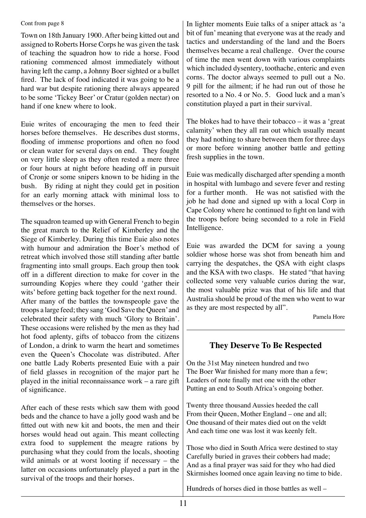#### Cont from page 8

Town on 18th January 1900. After being kitted out and assigned to Roberts Horse Corps he was given the task of teaching the squadron how to ride a horse. Food rationing commenced almost immediately without having left the camp, a Johnny Boer sighted or a bullet fired. The lack of food indicated it was going to be a hard war but despite rationing there always appeared to be some 'Tickey Beer' or Cratur (golden nectar) on hand if one knew where to look.

Euie writes of encouraging the men to feed their horses before themselves. He describes dust storms, flooding of immense proportions and often no food or clean water for several days on end. They fought on very little sleep as they often rested a mere three or four hours at night before heading off in pursuit of Cronje or some snipers known to be hiding in the bush. By riding at night they could get in position for an early morning attack with minimal loss to themselves or the horses.

The squadron teamed up with General French to begin the great march to the Relief of Kimberley and the Siege of Kimberley. During this time Euie also notes with humour and admiration the Boer's method of retreat which involved those still standing after battle fragmenting into small groups. Each group then took off in a different direction to make for cover in the surrounding Kopjes where they could 'gather their wits' before getting back together for the next round. After many of the battles the townspeople gave the troops a large feed; they sang 'God Save the Queen' and celebrated their safety with much 'Glory to Britain'. These occasions were relished by the men as they had hot food aplenty, gifts of tobacco from the citizens of London, a drink to warm the heart and sometimes even the Queen's Chocolate was distributed. After one battle Lady Roberts presented Euie with a pair of field glasses in recognition of the major part he played in the initial reconnaissance work – a rare gift of significance.

After each of these rests which saw them with good beds and the chance to have a jolly good wash and be fitted out with new kit and boots, the men and their horses would head out again. This meant collecting extra food to supplement the meagre rations by purchasing what they could from the locals, shooting wild animals or at worst looting if necessary – the latter on occasions unfortunately played a part in the survival of the troops and their horses.

In lighter moments Euie talks of a sniper attack as 'a bit of fun' meaning that everyone was at the ready and tactics and understanding of the land and the Boers themselves became a real challenge. Over the course of time the men went down with various complaints which included dysentery, toothache, enteric and even corns. The doctor always seemed to pull out a No. 9 pill for the ailment; if he had run out of those he resorted to a No. 4 or No. 5. Good luck and a man's constitution played a part in their survival.

The blokes had to have their tobacco  $-$  it was a 'great calamity' when they all ran out which usually meant they had nothing to share between them for three days or more before winning another battle and getting fresh supplies in the town.

Euie was medically discharged after spending a month in hospital with lumbago and severe fever and resting for a further month. He was not satisfied with the job he had done and signed up with a local Corp in Cape Colony where he continued to fight on land with the troops before being seconded to a role in Field Intelligence.

Euie was awarded the DCM for saving a young soldier whose horse was shot from beneath him and carrying the despatches, the QSA with eight clasps and the KSA with two clasps. He stated "that having collected some very valuable curios during the war, the most valuable prize was that of his life and that Australia should be proud of the men who went to war as they are most respected by all".

Pamela Hore

### **They Deserve To Be Respected**

On the 31st May nineteen hundred and two The Boer War finished for many more than a few; Leaders of note finally met one with the other Putting an end to South Africa's ongoing bother.

Twenty three thousand Aussies heeded the call From their Queen, Mother England – one and all; One thousand of their mates died out on the veldt And each time one was lost it was keenly felt.

Those who died in South Africa were destined to stay Carefully buried in graves their cobbers had made; And as a final prayer was said for they who had died Skirmishes loomed once again leaving no time to bide.

Hundreds of horses died in those battles as well –